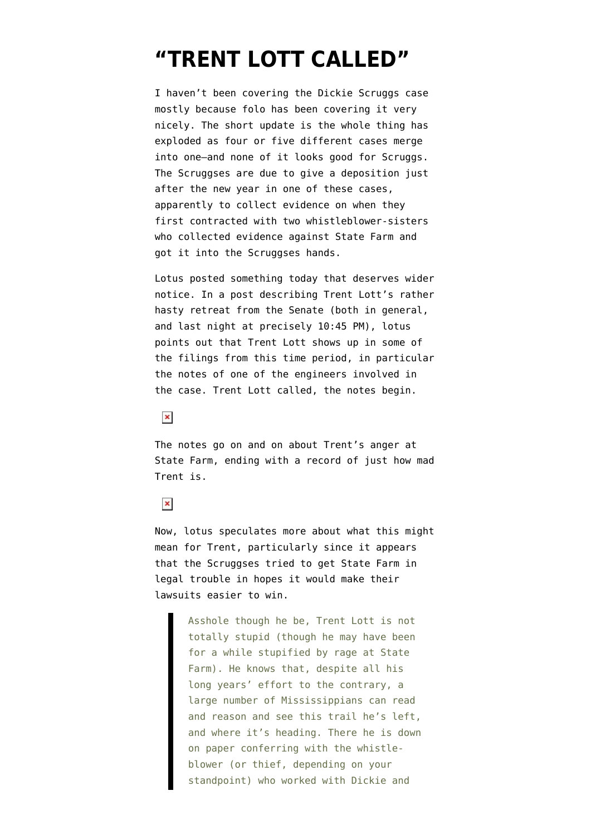## **["TRENT LOTT CALLED"](https://www.emptywheel.net/2007/12/19/trent-lott-called/)**

I haven't been covering the Dickie Scruggs case mostly because folo has been covering it very nicely. The short update is the whole thing has exploded as four or five different cases merge into one–and none of it looks good for Scruggs. The Scruggses are due to give a deposition just after the new year in one of these cases, apparently to collect evidence on when they first contracted with two whistleblower-sisters who collected evidence against State Farm and got it into the Scruggses hands.

Lotus posted something today that deserves wider notice. In a [post describing Trent Lott's](http://folo.wordpress.com/2007/12/19/sen-trent-lott-scarpers/) rather hasty retreat from the Senate (both in general, and last night at precisely 10:45 PM), lotus points out that Trent Lott shows up in some of the filings from this time period, in particular [the notes](http://emptywheel.firedoglake.com/files/28/files//2007/12/brian-ford-notes-on-trent.pdf) of one of the engineers involved in the case. Trent Lott called, the notes begin.

## $\pmb{\times}$

The notes go on and on about Trent's anger at State Farm, ending with a record of just how mad Trent is.

## $\pmb{\times}$

Now, lotus speculates more about what this might mean for Trent, particularly since it appears that the Scruggses tried to get State Farm in legal trouble in hopes it would make their lawsuits easier to win.

> Asshole though he be, Trent Lott is not totally stupid (though he may have been for a while stupified by rage at State Farm). He knows that, despite all his long years' effort to the contrary, a large number of Mississippians can read and reason and see this trail he's left, and where it's heading. There he is down on paper conferring with the whistleblower (or thief, depending on your standpoint) who worked with Dickie and